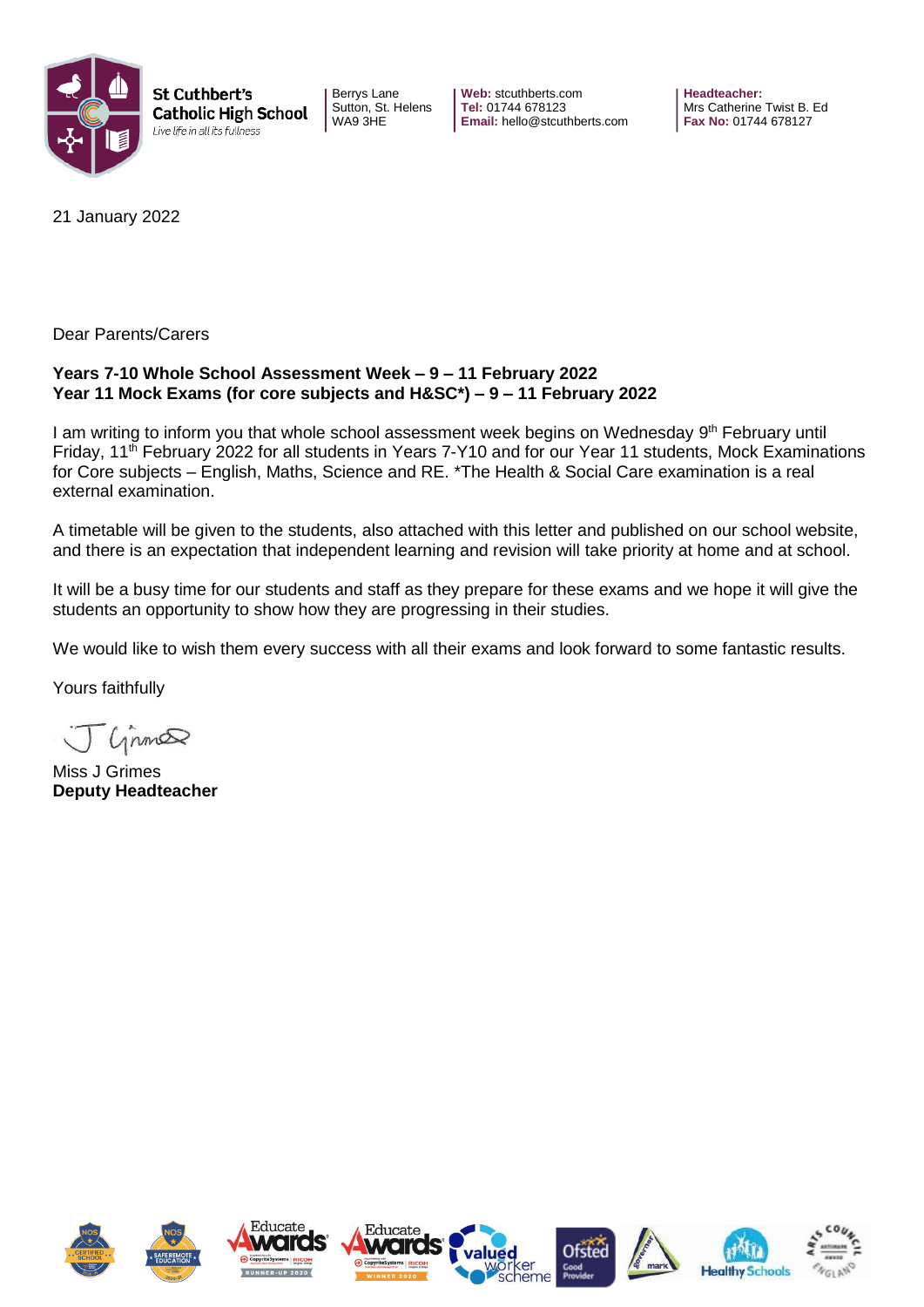

St Cuthbert's **Catholic High School** Live life in all its fullness

Berrys Lane Sutton, St. Helens WA9 3HE

**Web:** stcuthberts.com **Tel:** 01744 678123 **Email:** hello@stcuthberts.com **Headteacher:**  Mrs Catherine Twist B. Ed **Fax No:** 01744 678127

21 January 2022

Dear Parents/Carers

#### **Years 7-10 Whole School Assessment Week – 9 – 11 February 2022 Year 11 Mock Exams (for core subjects and H&SC\*) – 9 – 11 February 2022**

I am writing to inform you that whole school assessment week begins on Wednesday 9<sup>th</sup> February until Friday, 11th February 2022 for all students in Years 7-Y10 and for our Year 11 students, Mock Examinations for Core subjects – English, Maths, Science and RE. \*The Health & Social Care examination is a real external examination.

A timetable will be given to the students, also attached with this letter and published on our school website, and there is an expectation that independent learning and revision will take priority at home and at school.

It will be a busy time for our students and staff as they prepare for these exams and we hope it will give the students an opportunity to show how they are progressing in their studies.

We would like to wish them every success with all their exams and look forward to some fantastic results.

Yours faithfully

Cinna

Miss J Grimes **Deputy Headteacher**

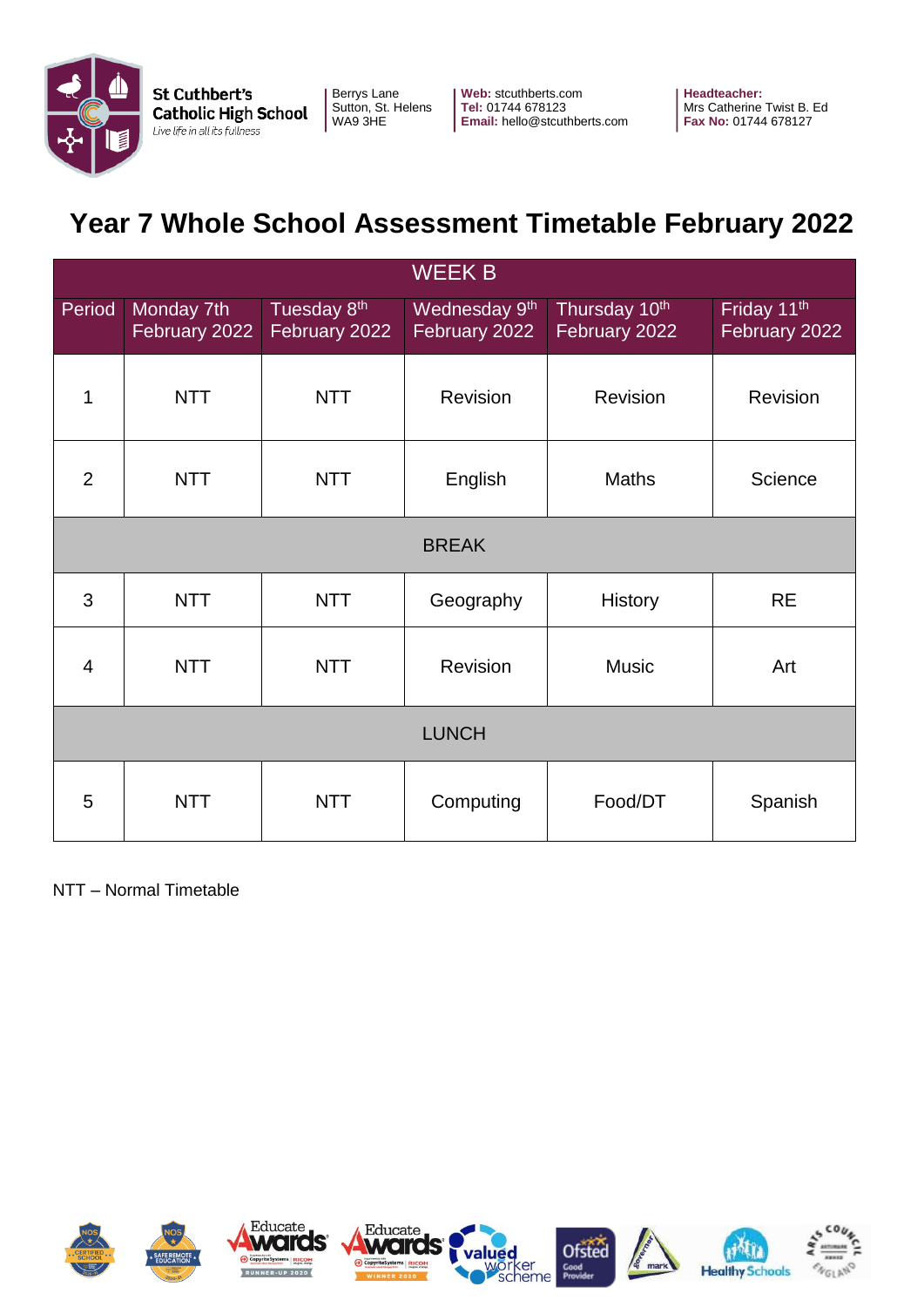

**Web:** stcuthberts.com **Tel:** 01744 678123 **Email:** hello@stcuthberts.com **Headteacher:**  Mrs Catherine Twist B. Ed **Fax No:** 01744 678127

# **Year 7 Whole School Assessment Timetable February 2022**

| <b>WEEK B</b>  |                             |                              |                                            |                                |                              |  |  |
|----------------|-----------------------------|------------------------------|--------------------------------------------|--------------------------------|------------------------------|--|--|
| Period         | Monday 7th<br>February 2022 | Tuesday 8th<br>February 2022 | Wednesday 9 <sup>th</sup><br>February 2022 | Thursday 10th<br>February 2022 | Friday 11th<br>February 2022 |  |  |
| 1              | <b>NTT</b>                  | <b>NTT</b>                   | Revision                                   | <b>Revision</b>                | Revision                     |  |  |
| $\overline{2}$ | <b>NTT</b>                  | <b>NTT</b>                   | English                                    | <b>Maths</b>                   | Science                      |  |  |
| <b>BREAK</b>   |                             |                              |                                            |                                |                              |  |  |
| 3              | <b>NTT</b>                  | <b>NTT</b>                   | Geography                                  | <b>History</b>                 | <b>RE</b>                    |  |  |
| $\overline{4}$ | <b>NTT</b>                  | <b>NTT</b>                   | Revision                                   | <b>Music</b>                   | Art                          |  |  |
| <b>LUNCH</b>   |                             |                              |                                            |                                |                              |  |  |
| 5              | <b>NTT</b>                  | <b>NTT</b>                   | Computing                                  | Food/DT                        | Spanish                      |  |  |

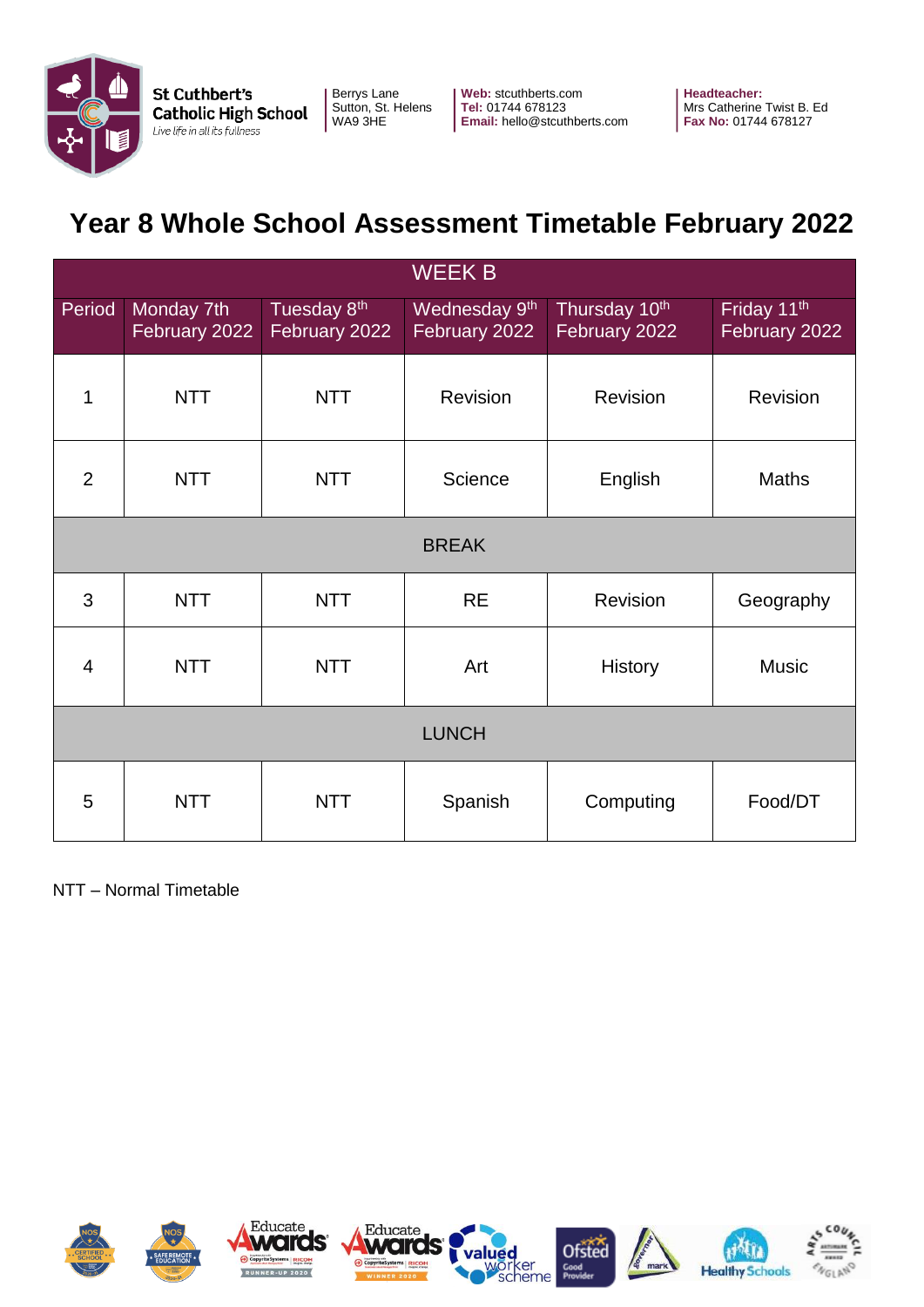

**Web:** stcuthberts.com **Tel:** 01744 678123 **Email:** hello@stcuthberts.com **Headteacher:**  Mrs Catherine Twist B. Ed **Fax No:** 01744 678127

# **Year 8 Whole School Assessment Timetable February 2022**

| <b>WEEK B</b>  |                             |                                          |                                            |                                |                              |  |  |
|----------------|-----------------------------|------------------------------------------|--------------------------------------------|--------------------------------|------------------------------|--|--|
| Period         | Monday 7th<br>February 2022 | Tuesday 8 <sup>th</sup><br>February 2022 | Wednesday 9 <sup>th</sup><br>February 2022 | Thursday 10th<br>February 2022 | Friday 11th<br>February 2022 |  |  |
| 1              | <b>NTT</b>                  | <b>NTT</b>                               | Revision                                   | Revision                       | <b>Revision</b>              |  |  |
| $\overline{2}$ | <b>NTT</b>                  | <b>NTT</b>                               | Science                                    | English                        | Maths                        |  |  |
| <b>BREAK</b>   |                             |                                          |                                            |                                |                              |  |  |
| 3              | <b>NTT</b>                  | <b>NTT</b>                               | <b>RE</b>                                  | Revision                       | Geography                    |  |  |
| $\overline{4}$ | <b>NTT</b>                  | <b>NTT</b>                               | Art                                        | <b>History</b>                 | <b>Music</b>                 |  |  |
| <b>LUNCH</b>   |                             |                                          |                                            |                                |                              |  |  |
| 5              | <b>NTT</b>                  | <b>NTT</b>                               | Spanish                                    | Computing                      | Food/DT                      |  |  |

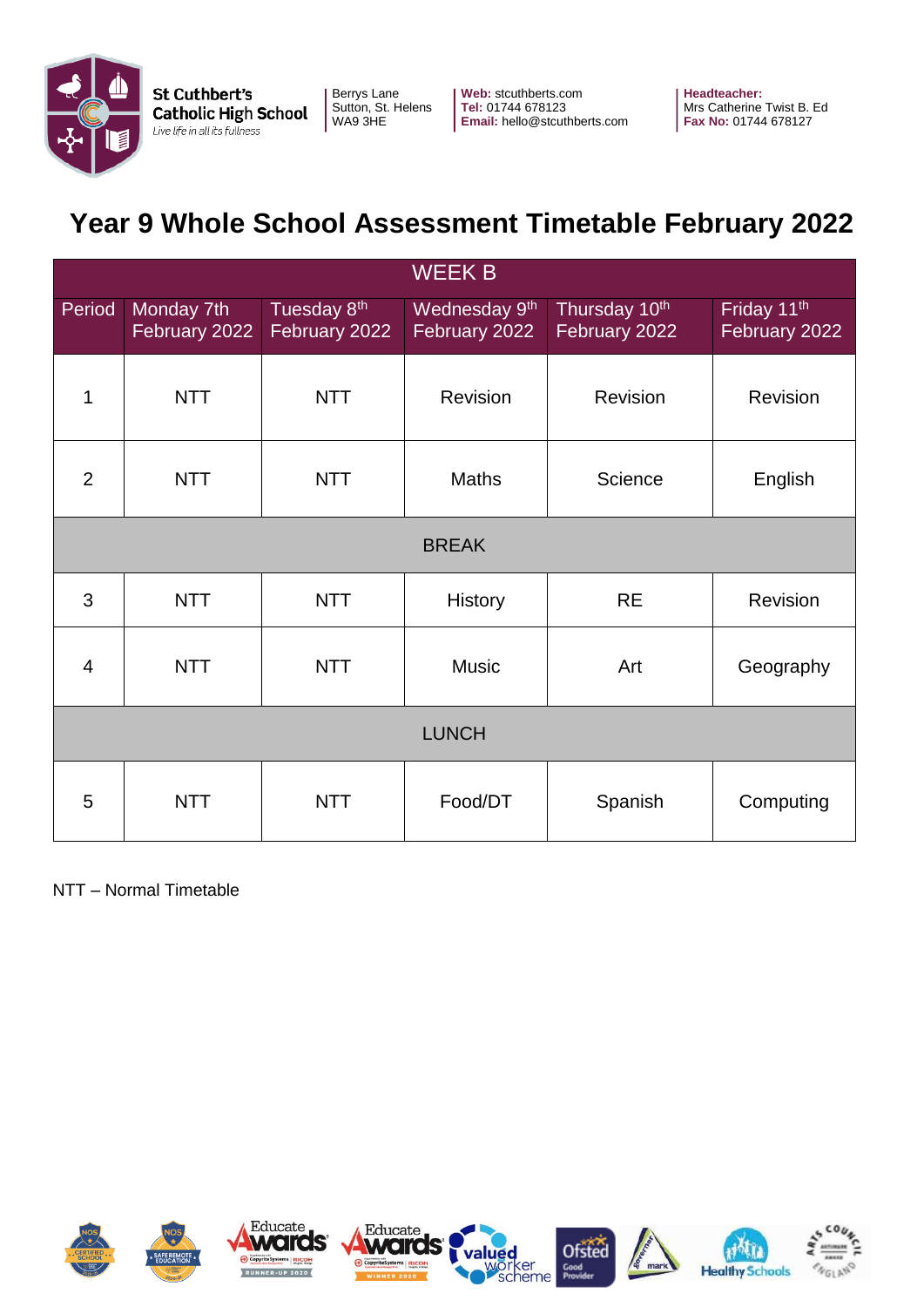

**Web:** stcuthberts.com **Tel:** 01744 678123 **Email:** hello@stcuthberts.com **Headteacher:**  Mrs Catherine Twist B. Ed **Fax No:** 01744 678127

# **Year 9 Whole School Assessment Timetable February 2022**

| <b>WEEK B</b>  |                             |                              |                                            |                                |                              |  |  |
|----------------|-----------------------------|------------------------------|--------------------------------------------|--------------------------------|------------------------------|--|--|
| Period         | Monday 7th<br>February 2022 | Tuesday 8th<br>February 2022 | Wednesday 9 <sup>th</sup><br>February 2022 | Thursday 10th<br>February 2022 | Friday 11th<br>February 2022 |  |  |
| 1              | <b>NTT</b>                  | <b>NTT</b>                   | Revision                                   | Revision                       | <b>Revision</b>              |  |  |
| $\overline{2}$ | <b>NTT</b>                  | <b>NTT</b>                   | <b>Maths</b>                               | Science                        | English                      |  |  |
| <b>BREAK</b>   |                             |                              |                                            |                                |                              |  |  |
| 3              | <b>NTT</b>                  | <b>NTT</b>                   | <b>History</b>                             | <b>RE</b>                      | <b>Revision</b>              |  |  |
| $\overline{4}$ | <b>NTT</b>                  | <b>NTT</b>                   | <b>Music</b>                               | Art                            | Geography                    |  |  |
| <b>LUNCH</b>   |                             |                              |                                            |                                |                              |  |  |
| 5              | <b>NTT</b>                  | <b>NTT</b>                   | Food/DT                                    | Spanish                        | Computing                    |  |  |

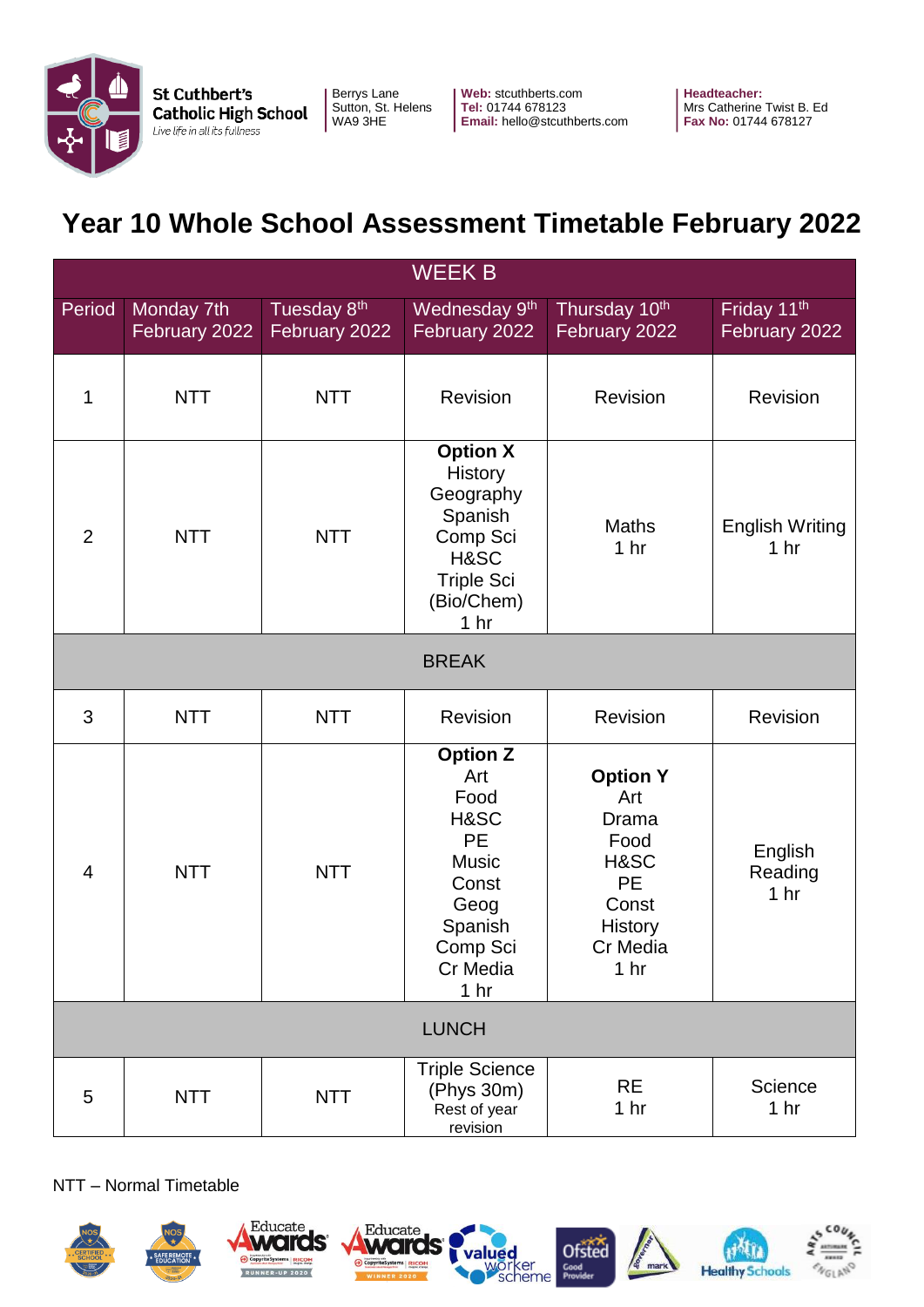

**Web:** stcuthberts.com **Tel:** 01744 678123 **Email:** hello@stcuthberts.com **Headteacher:**  Mrs Catherine Twist B. Ed **Fax No:** 01744 678127

# **Year 10 Whole School Assessment Timetable February 2022**

| <b>WEEK B</b>  |                             |                              |                                                                                                                                            |                                                                                                                        |                                           |  |  |
|----------------|-----------------------------|------------------------------|--------------------------------------------------------------------------------------------------------------------------------------------|------------------------------------------------------------------------------------------------------------------------|-------------------------------------------|--|--|
| Period         | Monday 7th<br>February 2022 | Tuesday 8th<br>February 2022 | Wednesday 9 <sup>th</sup><br>February 2022                                                                                                 | Thursday 10th<br>February 2022                                                                                         | Friday 11th<br>February 2022              |  |  |
| 1              | <b>NTT</b>                  | <b>NTT</b>                   | Revision                                                                                                                                   | Revision                                                                                                               | Revision                                  |  |  |
| $\overline{2}$ | <b>NTT</b>                  | <b>NTT</b>                   | <b>Option X</b><br>History<br>Geography<br>Spanish<br>Comp Sci<br>H&SC<br><b>Triple Sci</b><br>(Bio/Chem)<br>1 <sub>hr</sub>               | <b>Maths</b><br>1 <sub>hr</sub>                                                                                        | <b>English Writing</b><br>1 <sub>hr</sub> |  |  |
| <b>BREAK</b>   |                             |                              |                                                                                                                                            |                                                                                                                        |                                           |  |  |
| 3              | <b>NTT</b>                  | <b>NTT</b>                   | Revision                                                                                                                                   | Revision                                                                                                               | Revision                                  |  |  |
| $\overline{4}$ | <b>NTT</b>                  | <b>NTT</b>                   | <b>Option Z</b><br>Art<br>Food<br>H&SC<br><b>PE</b><br><b>Music</b><br>Const<br>Geog<br>Spanish<br>Comp Sci<br>Cr Media<br>1 <sub>hr</sub> | <b>Option Y</b><br>Art<br>Drama<br>Food<br>H&SC<br><b>PE</b><br>Const<br><b>History</b><br>Cr Media<br>1 <sub>hr</sub> | English<br>Reading<br>1 hr                |  |  |
| <b>LUNCH</b>   |                             |                              |                                                                                                                                            |                                                                                                                        |                                           |  |  |
| 5              | <b>NTT</b>                  | <b>NTT</b>                   | <b>Triple Science</b><br>(Phys 30m)<br>Rest of year<br>revision                                                                            | <b>RE</b><br>1 <sub>hr</sub>                                                                                           | Science<br>1 <sub>hr</sub>                |  |  |